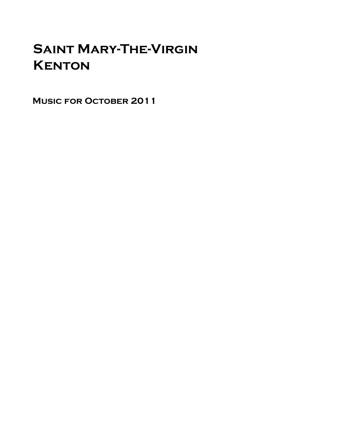# Saint Mary-The-Virgin **KENTON**

MUSIC FOR OCTOBER 2011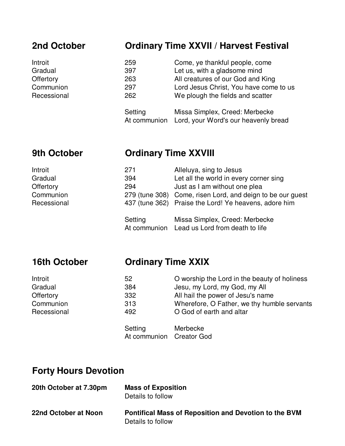### **2nd October Ordinary Time XXVII / Harvest Festival**

| Introit     | 259                     | Come, ye thankful people, come                                         |
|-------------|-------------------------|------------------------------------------------------------------------|
| Gradual     | 397                     | Let us, with a gladsome mind                                           |
| Offertory   | 263                     | All creatures of our God and King                                      |
| Communion   | 297                     | Lord Jesus Christ, You have come to us                                 |
| Recessional | 262                     | We plough the fields and scatter                                       |
|             | Setting<br>At communion | Missa Simplex, Creed: Merbecke<br>Lord, your Word's our heavenly bread |

### **9th October Cardinary Time XXVIII**

| Introit<br>Gradual<br>Offertory<br>Communion | 271<br>394<br>294       | Alleluya, sing to Jesus<br>Let all the world in every corner sing<br>Just as I am without one plea<br>279 (tune 308) Come, risen Lord, and deign to be our guest |
|----------------------------------------------|-------------------------|------------------------------------------------------------------------------------------------------------------------------------------------------------------|
| Recessional                                  |                         | 437 (tune 362) Praise the Lord! Ye heavens, adore him                                                                                                            |
|                                              | Setting<br>At communion | Missa Simplex, Creed: Merbecke<br>Lead us Lord from death to life                                                                                                |

### **16th October Ordinary Time XXIX**

| Introit     | 52                                  | O worship the Lord in the beauty of holiness |
|-------------|-------------------------------------|----------------------------------------------|
| Gradual     | 384                                 | Jesu, my Lord, my God, my All                |
| Offertory   | 332                                 | All hail the power of Jesu's name            |
| Communion   | 313                                 | Wherefore, O Father, we thy humble servants  |
| Recessional | 492                                 | O God of earth and altar                     |
|             | Setting<br>At communion Creator God | Merbecke                                     |

### **Forty Hours Devotion**

| 20th October at 7.30pm | <b>Mass of Exposition</b><br>Details to follow                                    |
|------------------------|-----------------------------------------------------------------------------------|
| 22nd October at Noon   | <b>Pontifical Mass of Reposition and Devotion to the BVM</b><br>Details to follow |